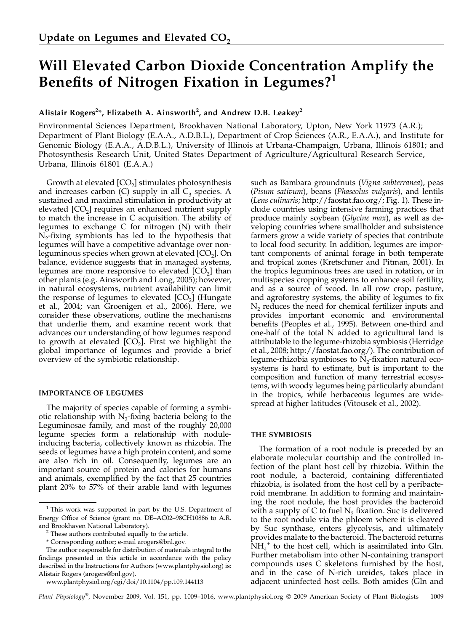# Will Elevated Carbon Dioxide Concentration Amplify the Benefits of Nitrogen Fixation in Legumes?<sup>1</sup>

# Alistair Rogers $^{2\ast}$ , Elizabeth A. Ainsworth $^{2}$ , and Andrew D.B. Leakey $^{2}$

Environmental Sciences Department, Brookhaven National Laboratory, Upton, New York 11973 (A.R.); Department of Plant Biology (E.A.A., A.D.B.L.), Department of Crop Sciences (A.R., E.A.A.), and Institute for Genomic Biology (E.A.A., A.D.B.L.), University of Illinois at Urbana-Champaign, Urbana, Illinois 61801; and Photosynthesis Research Unit, United States Department of Agriculture/Agricultural Research Service, Urbana, Illinois 61801 (E.A.A.)

Growth at elevated  $[CO<sub>2</sub>]$  stimulates photosynthesis and increases carbon  $(C)$  supply in all  $C_3$  species. A sustained and maximal stimulation in productivity at elevated  $[CO<sub>2</sub>]$  requires an enhanced nutrient supply to match the increase in C acquisition. The ability of legumes to exchange C for nitrogen (N) with their  $N_2$ -fixing symbionts has led to the hypothesis that legumes will have a competitive advantage over nonleguminous species when grown at elevated  $[CO<sub>2</sub>]$ . On balance, evidence suggests that in managed systems, legumes are more responsive to elevated  $[CO<sub>2</sub>]$  than other plants (e.g. Ainsworth and Long, 2005); however, in natural ecosystems, nutrient availability can limit the response of legumes to elevated  $[CO<sub>2</sub>]$  (Hungate et al., 2004; van Groenigen et al., 2006). Here, we consider these observations, outline the mechanisms that underlie them, and examine recent work that advances our understanding of how legumes respond to growth at elevated  $[CO<sub>2</sub>]$ . First we highlight the global importance of legumes and provide a brief overview of the symbiotic relationship.

# IMPORTANCE OF LEGUMES

The majority of species capable of forming a symbiotic relationship with  $N<sub>2</sub>$ -fixing bacteria belong to the Leguminosae family, and most of the roughly 20,000 legume species form a relationship with noduleinducing bacteria, collectively known as rhizobia. The seeds of legumes have a high protein content, and some are also rich in oil. Consequently, legumes are an important source of protein and calories for humans and animals, exemplified by the fact that 25 countries plant 20% to 57% of their arable land with legumes

www.plantphysiol.org/cgi/doi/10.1104/pp.109.144113

such as Bambara groundnuts (Vigna subterranea), peas (Pisum sativum), beans (Phaseolus vulgaris), and lentils (Lens culinaris; http://faostat.fao.org/; Fig. 1). These include countries using intensive farming practices that produce mainly soybean (Glycine max), as well as developing countries where smallholder and subsistence farmers grow a wide variety of species that contribute to local food security. In addition, legumes are important components of animal forage in both temperate and tropical zones (Kretschmer and Pitman, 2001). In the tropics leguminous trees are used in rotation, or in multispecies cropping systems to enhance soil fertility, and as a source of wood. In all row crop, pasture, and agroforestry systems, the ability of legumes to fix  $N<sub>2</sub>$  reduces the need for chemical fertilizer inputs and provides important economic and environmental benefits (Peoples et al., 1995). Between one-third and one-half of the total N added to agricultural land is attributable to the legume-rhizobia symbiosis (Herridge et al., 2008; http://faostat.fao.org/). The contribution of legume-rhizobia symbioses to  $N_2$ -fixation natural ecosystems is hard to estimate, but is important to the composition and function of many terrestrial ecosystems, with woody legumes being particularly abundant in the tropics, while herbaceous legumes are widespread at higher latitudes (Vitousek et al., 2002).

# THE SYMBIOSIS

The formation of a root nodule is preceded by an elaborate molecular courtship and the controlled infection of the plant host cell by rhizobia. Within the root nodule, a bacteroid, containing differentiated rhizobia, is isolated from the host cell by a peribacteroid membrane. In addition to forming and maintaining the root nodule, the host provides the bacteroid with a supply of C to fuel  $N<sub>2</sub>$  fixation. Suc is delivered to the root nodule via the phloem where it is cleaved by Suc synthase, enters glycolysis, and ultimately provides malate to the bacteroid. The bacteroid returns  $\rm NH_4^+$  to the host cell, which is assimilated into Gln. Further metabolism into other N-containing transport compounds uses C skeletons furnished by the host, and in the case of N-rich ureides, takes place in adjacent uninfected host cells. Both amides (Gln and

Plant Physiology®, November 2009, Vol. 151, pp. 1009–1016, www.plantphysiol.org  $©$  2009 American Society of Plant Biologists 1009

 $1$  This work was supported in part by the U.S. Department of Energy Office of Science (grant no. DE-AC02-98CH10886 to A.R. and Brookhaven National Laboratory).

 $^{\rm 2}$  These authors contributed equally to the article.

<sup>\*</sup> Corresponding author; e-mail arogers@bnl.gov.

The author responsible for distribution of materials integral to the findings presented in this article in accordance with the policy described in the Instructions for Authors (www.plantphysiol.org) is: Alistair Rogers (arogers@bnl.gov).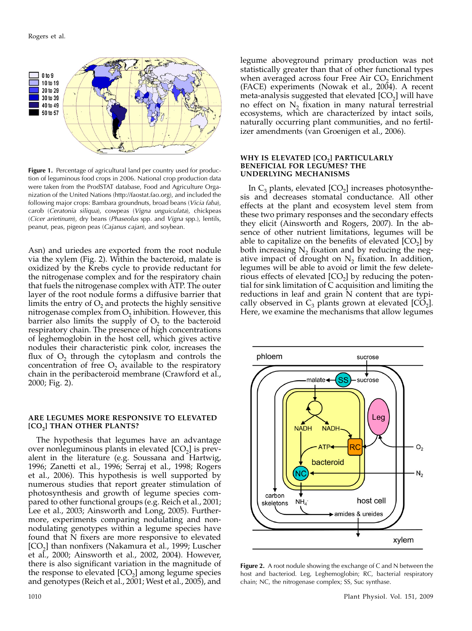

Figure 1. Percentage of agricultural land per country used for production of leguminous food crops in 2006. National crop production data were taken from the ProdSTAT database, Food and Agriculture Organization of the United Nations (http://faostat.fao.org), and included the following major crops: Bambara groundnuts, broad beans (Vicia faba), carob (Ceratonia siliqua), cowpeas (Vigna unguiculata), chickpeas (Cicer arietinum), dry beans (Phaseolus spp. and Vigna spp.), lentils, peanut, peas, pigeon peas (Cajanus cajan), and soybean.

Asn) and uriedes are exported from the root nodule via the xylem (Fig. 2). Within the bacteroid, malate is oxidized by the Krebs cycle to provide reductant for the nitrogenase complex and for the respiratory chain that fuels the nitrogenase complex with ATP. The outer layer of the root nodule forms a diffusive barrier that limits the entry of  $O_2$  and protects the highly sensitive nitrogenase complex from  $O<sub>2</sub>$  inhibition. However, this barrier also limits the supply of  $O<sub>2</sub>$  to the bacteroid respiratory chain. The presence of high concentrations of leghemoglobin in the host cell, which gives active nodules their characteristic pink color, increases the flux of  $O<sub>2</sub>$  through the cytoplasm and controls the concentration of free  $O<sub>2</sub>$  available to the respiratory chain in the peribacteroid membrane (Crawford et al., 2000; Fig. 2).

#### ARE LEGUMES MORE RESPONSIVE TO ELEVATED [CO<sub>2</sub>] THAN OTHER PLANTS?

The hypothesis that legumes have an advantage over nonleguminous plants in elevated  $[CO<sub>2</sub>]$  is prevalent in the literature (e.g. Soussana and Hartwig, 1996; Zanetti et al., 1996; Serraj et al., 1998; Rogers et al., 2006). This hypothesis is well supported by numerous studies that report greater stimulation of photosynthesis and growth of legume species compared to other functional groups (e.g. Reich et al., 2001; Lee et al., 2003; Ainsworth and Long, 2005). Furthermore, experiments comparing nodulating and nonnodulating genotypes within a legume species have found that N fixers are more responsive to elevated  $[CO<sub>2</sub>]$  than nonfixers (Nakamura et al., 1999; Luscher et al., 2000; Ainsworth et al., 2002, 2004). However, there is also significant variation in the magnitude of the response to elevated  $[CO<sub>2</sub>]$  among legume species and genotypes (Reich et al., 2001; West et al., 2005), and

legume aboveground primary production was not statistically greater than that of other functional types when averaged across four Free Air  $CO<sub>2</sub>$  Enrichment (FACE) experiments (Nowak et al., 2004). A recent meta-analysis suggested that elevated  $[CO<sub>2</sub>]$  will have no effect on  $N_2$  fixation in many natural terrestrial ecosystems, which are characterized by intact soils, naturally occurring plant communities, and no fertilizer amendments (van Groenigen et al., 2006).

# WHY IS ELEVATED [CO<sub>2</sub>] PARTICULARLY BENEFICIAL FOR LEGUMES? THE UNDERLYING MECHANISMS

In  $C_3$  plants, elevated  $[CO_2]$  increases photosynthesis and decreases stomatal conductance. All other effects at the plant and ecosystem level stem from these two primary responses and the secondary effects they elicit (Ainsworth and Rogers, 2007). In the absence of other nutrient limitations, legumes will be able to capitalize on the benefits of elevated  $[CO<sub>2</sub>]$  by both increasing  $N_2$  fixation and by reducing the negative impact of drought on  $N<sub>2</sub>$  fixation. In addition, legumes will be able to avoid or limit the few deleterious effects of elevated  $[CO<sub>2</sub>]$  by reducing the potential for sink limitation of C acquisition and limiting the reductions in leaf and grain  $\bar{N}$  content that are typically observed in  $C_3$  plants grown at elevated  $[CO_2]$ . Here, we examine the mechanisms that allow legumes



Figure 2. A root nodule showing the exchange of C and N between the host and bacteriod. Leg, Leghemoglobin; RC, bacterial respiratory chain; NC, the nitrogenase complex; SS, Suc synthase.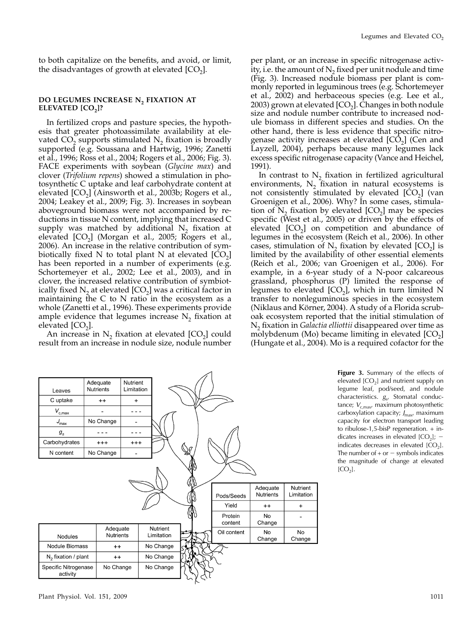to both capitalize on the benefits, and avoid, or limit, the disadvantages of growth at elevated  $[CO<sub>2</sub>]$ .

# DO LEGUMES INCREASE N<sub>2</sub> FIXATION AT ELEVATED  $[CO<sub>2</sub>]$ ?

In fertilized crops and pasture species, the hypothesis that greater photoassimilate availability at elevated  $CO<sub>2</sub>$  supports stimulated  $N<sub>2</sub>$  fixation is broadly supported (e.g. Soussana and Hartwig, 1996; Zanetti et al., 1996; Ross et al., 2004; Rogers et al., 2006; Fig. 3). FACE experiments with soybean (Glycine max) and clover (Trifolium repens) showed a stimulation in photosynthetic C uptake and leaf carbohydrate content at elevated  $[CO<sub>2</sub>]$  (Ainsworth et al., 2003b; Rogers et al., 2004; Leakey et al., 2009; Fig. 3). Increases in soybean aboveground biomass were not accompanied by reductions in tissue N content, implying that increased C supply was matched by additional  $N<sub>2</sub>$  fixation at elevated  $[CO<sub>2</sub>]$  (Morgan et al., 2005; Rogers et al., 2006). An increase in the relative contribution of symbiotically fixed N to total plant N at elevated  $[CO<sub>2</sub>]$ has been reported in a number of experiments (e.g. Schortemeyer et al., 2002; Lee et al., 2003), and in clover, the increased relative contribution of symbiotically fixed  $N_2$  at elevated  $[CO_2]$  was a critical factor in maintaining the C to N ratio in the ecosystem as a whole (Zanetti et al., 1996). These experiments provide ample evidence that legumes increase  $N<sub>2</sub>$  fixation at elevated  $[CO<sub>2</sub>]$ .

An increase in  $N_2$  fixation at elevated  $[CO_2]$  could result from an increase in nodule size, nodule number

per plant, or an increase in specific nitrogenase activity, i.e. the amount of  $N<sub>2</sub>$  fixed per unit nodule and time (Fig. 3). Increased nodule biomass per plant is commonly reported in leguminous trees (e.g. Schortemeyer et al., 2002) and herbaceous species (e.g. Lee et al., 2003) grown at elevated  $[CO<sub>2</sub>]$ . Changes in both nodule size and nodule number contribute to increased nodule biomass in different species and studies. On the other hand, there is less evidence that specific nitrogenase activity increases at elevated  $[CO<sub>2</sub>]$  (Cen and Layzell, 2004), perhaps because many legumes lack excess specific nitrogenase capacity (Vance and Heichel, 1991).

In contrast to  $N<sub>2</sub>$  fixation in fertilized agricultural environments,  $N_2$  fixation in natural ecosystems is not consistently stimulated by elevated  $[CO<sub>2</sub>]$  (van Groenigen et al., 2006). Why? In some cases, stimulation of  $N_2$  fixation by elevated  $[CO_2]$  may be species specific (West et al., 2005) or driven by the effects of elevated  $[CO<sub>2</sub>]$  on competition and abundance of legumes in the ecosystem (Reich et al., 2006). In other cases, stimulation of  $N_2$  fixation by elevated  $[CO_2]$  is limited by the availability of other essential elements (Reich et al., 2006; van Groenigen et al., 2006). For example, in a 6-year study of a N-poor calcareous grassland, phosphorus (P) limited the response of legumes to elevated  $[CO<sub>2</sub>]$ , which in turn limited N transfer to nonleguminous species in the ecosystem (Niklaus and Körner, 2004). A study of a Florida scruboak ecosystem reported that the initial stimulation of  $N<sub>2</sub>$  fixation in *Galactia elliottii* disappeared over time as molybdenum (Mo) became limiting in elevated  $[CO<sub>2</sub>]$ (Hungate et al., 2004). Mo is a required cofactor for the



Figure 3. Summary of the effects of elevated  $[CO<sub>2</sub>]$  and nutrient supply on legume leaf, pod/seed, and nodule characteristics.  $g_s$ , Stomatal conduc-<br>tance:  $V_s$  maximum photocynthotic tance;  $V_{c,max}$ , maximum photosynthetic carboxylation capacity; *J<sub>max</sub>*, maximum<br>capacity for electron transport loading capacity for electron transport leading to ribulose-1,5-bisP regeneration. + indicates increases in elevated  $[CO<sub>2</sub>]$ ; indicates decreases in elevated  $[CO<sub>2</sub>]$ . The number of  $+$  or  $-$  symbols indicates the magnitude of change at elevated  $[CO<sub>2</sub>].$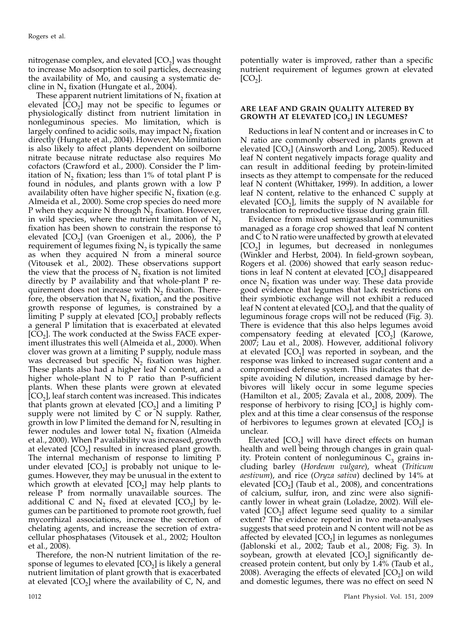nitrogenase complex, and elevated  $[CO<sub>2</sub>]$  was thought to increase Mo adsorption to soil particles, decreasing the availability of Mo, and causing a systematic decline in  $N<sub>2</sub>$  fixation (Hungate et al., 2004).

These apparent nutrient limitations of  $N<sub>2</sub>$  fixation at elevated  $[\overline{CO}_2]$  may not be specific to legumes or physiologically distinct from nutrient limitation in nonleguminous species. Mo limitation, which is largely confined to acidic soils, may impact  $N_2$  fixation directly (Hungate et al., 2004). However, Mo limitation is also likely to affect plants dependent on soilborne nitrate because nitrate reductase also requires Mo cofactors (Crawford et al., 2000). Consider the P limitation of  $N_2$  fixation; less than 1% of total plant P is found in nodules, and plants grown with a low P availability often have higher specific  $N_2$  fixation (e.g. Almeida et al., 2000). Some crop species do need more P when they acquire  $N$  through  $N<sub>2</sub>$  fixation. However, in wild species, where the nutrient limitation of  $N<sub>2</sub>$ fixation has been shown to constrain the response to elevated  $[CO<sub>2</sub>]$  (van Groenigen et al., 2006), the P requirement of legumes fixing  $N<sub>2</sub>$  is typically the same as when they acquired N from a mineral source (Vitousek et al., 2002). These observations support the view that the process of  $N<sub>2</sub>$  fixation is not limited directly by P availability and that whole-plant P requirement does not increase with  $N_2$  fixation. Therefore, the observation that  $N_2$  fixation, and the positive growth response of legumes, is constrained by a limiting P supply at elevated  $[CO<sub>2</sub>]$  probably reflects a general P limitation that is exacerbated at elevated  $[CO<sub>2</sub>]$ . The work conducted at the Swiss FACE experiment illustrates this well (Almeida et al., 2000). When clover was grown at a limiting P supply, nodule mass was decreased but specific  $\tilde{N}_2$  fixation was higher. These plants also had a higher leaf N content, and a higher whole-plant N to P ratio than P-sufficient plants. When these plants were grown at elevated  $[CO<sub>2</sub>]$ , leaf starch content was increased. This indicates that plants grown at elevated  $[CO<sub>2</sub>]$  and a limiting P supply were not limited by C or N supply. Rather, growth in low P limited the demand for N, resulting in fewer nodules and lower total  $N<sub>2</sub>$  fixation (Almeida et al., 2000). When P availability was increased, growth at elevated  $[CO<sub>2</sub>]$  resulted in increased plant growth. The internal mechanism of response to limiting P under elevated  $[CO_2]$  is probably not unique to legumes. However, they may be unusual in the extent to which growth at elevated  $[CO<sub>2</sub>]$  may help plants to release P from normally unavailable sources. The additional C and  $N_2$  fixed at elevated  $[CO_2]$  by legumes can be partitioned to promote root growth, fuel mycorrhizal associations, increase the secretion of chelating agents, and increase the secretion of extracellular phosphatases (Vitousek et al., 2002; Houlton et al., 2008).

Therefore, the non-N nutrient limitation of the response of legumes to elevated  $[CO<sub>2</sub>]$  is likely a general nutrient limitation of plant growth that is exacerbated at elevated  $[CO_2]$  where the availability of C, N, and

potentially water is improved, rather than a specific nutrient requirement of legumes grown at elevated  $[CO<sub>2</sub>].$ 

# ARE LEAF AND GRAIN QUALITY ALTERED BY GROWTH AT ELEVATED  $[CO<sub>2</sub>]$  IN LEGUMES?

Reductions in leaf N content and or increases in C to N ratio are commonly observed in plants grown at elevated  $[CO<sub>2</sub>]$  (Ainsworth and Long, 2005). Reduced leaf N content negatively impacts forage quality and can result in additional feeding by protein-limited insects as they attempt to compensate for the reduced leaf N content (Whittaker, 1999). In addition, a lower leaf N content, relative to the enhanced C supply at elevated  $[CO<sub>2</sub>]$ , limits the supply of N available for translocation to reproductive tissue during grain fill.

Evidence from mixed semigrassland communities managed as a forage crop showed that leaf N content and C to N ratio were unaffected by growth at elevated  $[CO<sub>2</sub>]$  in legumes, but decreased in nonlegumes (Winkler and Herbst, 2004). In field-grown soybean, Rogers et al. (2006) showed that early season reductions in leaf N content at elevated  $[CO<sub>2</sub>]$  disappeared once  $N<sub>2</sub>$  fixation was under way. These data provide good evidence that legumes that lack restrictions on their symbiotic exchange will not exhibit a reduced leaf N content at elevated  $[CO<sub>2</sub>]$ , and that the quality of leguminous forage crops will not be reduced (Fig. 3). There is evidence that this also helps legumes avoid compensatory feeding at elevated  $[CO<sub>2</sub>]$  (Karowe, 2007; Lau et al., 2008). However, additional folivory at elevated  $[CO<sub>2</sub>]$  was reported in soybean, and the response was linked to increased sugar content and a compromised defense system. This indicates that despite avoiding N dilution, increased damage by herbivores will likely occur in some legume species (Hamilton et al., 2005; Zavala et al., 2008, 2009). The response of herbivory to rising  $[CO_2]$  is highly complex and at this time a clear consensus of the response of herbivores to legumes grown at elevated  $[CO<sub>2</sub>]$  is unclear.

Elevated  $[CO<sub>2</sub>]$  will have direct effects on human health and well being through changes in grain quality. Protein content of nonleguminous  $C_3$  grains including barley (Hordeum vulgare), wheat (Triticum aestivum), and rice (Oryza sativa) declined by 14% at elevated  $[CO<sub>2</sub>]$  (Taub et al., 2008), and concentrations of calcium, sulfur, iron, and zinc were also significantly lower in wheat grain (Loladze, 2002). Will elevated  $[CO<sub>2</sub>]$  affect legume seed quality to a similar extent? The evidence reported in two meta-analyses suggests that seed protein and N content will not be as affected by elevated  $[CO<sub>2</sub>]$  in legumes as nonlegumes (Jablonski et al., 2002; Taub et al., 2008; Fig. 3). In soybean, growth at elevated  $[CO<sub>2</sub>]$  significantly decreased protein content, but only by 1.4% (Taub et al., 2008). Averaging the effects of elevated  $[CO<sub>2</sub>]$  on wild and domestic legumes, there was no effect on seed N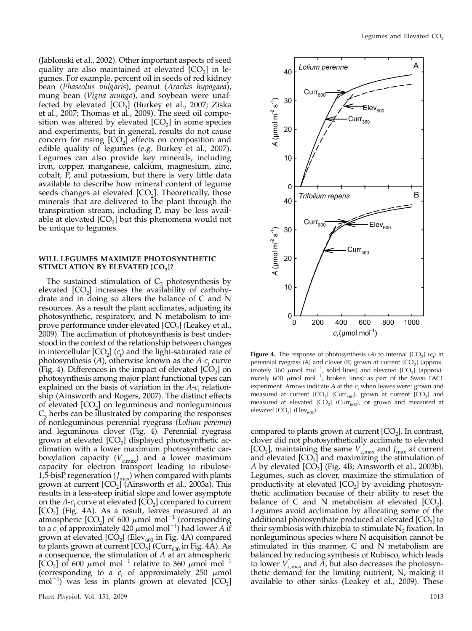Lolium perenne

(Jablonski et al., 2002). Other important aspects of seed quality are also maintained at elevated  $[CO<sub>2</sub>]$  in legumes. For example, percent oil in seeds of red kidney bean (Phaseolus vulgaris), peanut (Arachis hypogaea), mung bean (Vigna mungo), and soybean were unaffected by elevated  $[CO<sub>2</sub>]$  (Burkey et al., 2007; Ziska et al., 2007; Thomas et al., 2009). The seed oil composition was altered by elevated  $[CO<sub>2</sub>]$  in some species and experiments, but in general, results do not cause concern for rising  $[CO_2]$  effects on composition and edible quality of legumes (e.g. Burkey et al., 2007). Legumes can also provide key minerals, including iron, copper, manganese, calcium, magnesium, zinc, cobalt, P, and potassium, but there is very little data available to describe how mineral content of legume seeds changes at elevated  $[CO<sub>2</sub>]$ . Theoretically, those minerals that are delivered to the plant through the transpiration stream, including P, may be less available at elevated  $[CO<sub>2</sub>]$  but this phenomena would not be unique to legumes.

# WILL LEGUMES MAXIMIZE PHOTOSYNTHETIC STIMULATION BY ELEVATED [CO<sub>2</sub>]?

The sustained stimulation of  $C_3$  photosynthesis by elevated  $[CO<sub>2</sub>]$  increases the availability of carbohydrate and in doing so alters the balance of C and N resources. As a result the plant acclimates, adjusting its photosynthetic, respiratory, and N metabolism to improve performance under elevated  $[CO<sub>2</sub>]$  (Leakey et al., 2009). The acclimation of photosynthesis is best understood in the context of the relationship between changes in intercellular [CO<sub>2</sub>] ( $c$ <sub>i</sub>) and the light-saturated rate of photosynthesis  $(A)$ , otherwise known as the  $A-c_i$  curve (Fig. 4). Differences in the impact of elevated  $[CO<sub>2</sub>]$  on photosynthesis among major plant functional types can explained on the basis of variation in the  $A-c<sub>i</sub>$  relationship (Ainsworth and Rogers, 2007). The distinct effects of elevated  $[CO<sub>2</sub>]$  on leguminous and nonleguminous  $C_3$  herbs can be illustrated by comparing the responses of nonleguminous perennial ryegrass (Lolium perenne) and leguminous clover (Fig. 4). Perennial ryegrass grown at elevated  $[CO<sub>2</sub>]$  displayed photosynthetic acclimation with a lower maximum photosynthetic carboxylation capacity ( $V_{c,max}$ ) and a lower maximum capacity for electron transport leading to ribulose-1,5-bisP regeneration ( $J_{\text{max}}$ ) when compared with plants grown at current  $[CO<sub>2</sub>]$  (Ainsworth et al., 2003a). This results in a less-steep initial slope and lower asymptote on the  $A-c_i$  curve at elevated  $[CO_2]$  compared to current [CO<sub>2</sub>] (Fig. 4A). As a result, leaves measured at an atmospheric  $[CO_2]$  of 600  $\mu$ mol mol<sup>-1</sup> (corresponding to a  $c_i$  of approximately 420  $\mu$ mol mol<sup>-1</sup>) had lower A if grown at elevated  $[CO<sub>2</sub>]$  (Elev<sub>600</sub> in Fig. 4A) compared to plants grown at current  $[CO<sub>2</sub>]$  (Curr<sub>600</sub> in Fig. 4A). As a consequence, the stimulation of  $A$  at an atmospheric [CO<sub>2</sub>] of 600  $\mu$ mol mol<sup>-1</sup> relative to 360  $\mu$ mol mol<sup>-1</sup> (corresponding to a  $c_i$  of approximately 250  $\mu$ mol  $\text{mol}^{-1}$  was less in plants grown at elevated  $\text{[CO}_2\text{]}$ 



**Figure 4.** The response of photosynthesis (A) to internal  $[CO_2]$  ( $c_i$ ) in perspected to an experiment  $[CO_1]$  (approximately) perennial ryegrass (A) and clover (B) grown at current  $[CO<sub>2</sub>]$  (approximately 360  $\mu$ mol mol<sup>-1</sup>, solid lines) and elevated  $[CO<sub>2</sub>]$  (approximately 600  $\mu$ mol mol<sup>-1</sup>, broken lines) as part of the Swiss FACE experiment. Arrows indicate A at the  $c_i$  when leaves were: grown and measured at current  $[CO_2]$  (Curr<sub>360</sub>), grown at current  $[CO_2]$  and measured at elevated  $[CO_2]$  (Curr<sub>600</sub>), or grown and measured at elevated  $[CO<sub>2</sub>]$  (Elev<sub>600</sub>).

compared to plants grown at current  $[CO<sub>2</sub>]$ . In contrast, clover did not photosynthetically acclimate to elevated [CO<sub>2</sub>], maintaining the same  $V_{c,max}$  and  $J_{max}$  at current and elevated  $[CO<sub>2</sub>]$  and maximizing the stimulation of A by elevated  $[CO<sub>2</sub>]$  (Fig. 4B; Ainsworth et al., 2003b). Legumes, such as clover, maximize the stimulation of productivity at elevated  $[CO<sub>2</sub>]$  by avoiding photosynthetic acclimation because of their ability to reset the balance of C and N metabolism at elevated  $[CO<sub>2</sub>]$ . Legumes avoid acclimation by allocating some of the additional photosynthate produced at elevated  $[CO<sub>2</sub>]$  to their symbiosis with rhizobia to stimulate  $N_2$  fixation. In nonleguminous species where N acquisition cannot be stimulated in this manner, C and N metabolism are balanced by reducing synthesis of Rubisco, which leads to lower  $V_{\text{c,max}}$  and  $\overline{A}$ , but also decreases the photosynthetic demand for the limiting nutrient, N, making it available to other sinks (Leakey et al., 2009). These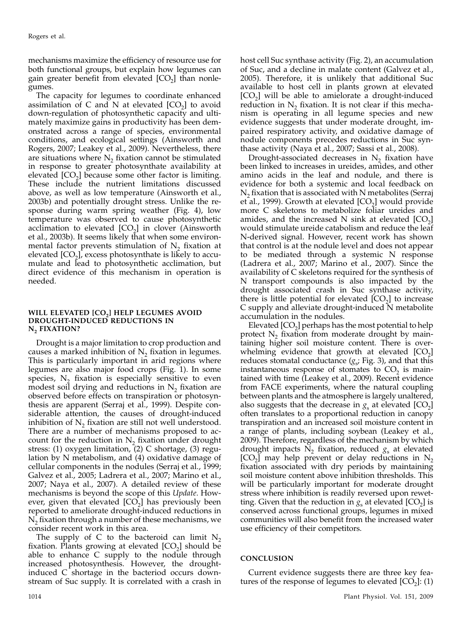mechanisms maximize the efficiency of resource use for both functional groups, but explain how legumes can gain greater benefit from elevated  $[CO<sub>2</sub>]$  than nonlegumes.

The capacity for legumes to coordinate enhanced assimilation of C and N at elevated  $[CO<sub>2</sub>]$  to avoid down-regulation of photosynthetic capacity and ultimately maximize gains in productivity has been demonstrated across a range of species, environmental conditions, and ecological settings (Ainsworth and Rogers, 2007; Leakey et al., 2009). Nevertheless, there are situations where  $N_2$  fixation cannot be stimulated in response to greater photosynthate availability at elevated  $[CO<sub>2</sub>]$  because some other factor is limiting. These include the nutrient limitations discussed above, as well as low temperature (Ainsworth et al., 2003b) and potentially drought stress. Unlike the response during warm spring weather (Fig. 4), low temperature was observed to cause photosynthetic acclimation to elevated  $[CO<sub>2</sub>]$  in clover (Ainsworth et al., 2003b). It seems likely that when some environmental factor prevents stimulation of  $N_2$  fixation at elevated  $[CO<sub>2</sub>]$ , excess photosynthate is likely to accumulate and lead to photosynthetic acclimation, but direct evidence of this mechanism in operation is needed.

#### WILL ELEVATED [CO<sub>2</sub>] HELP LEGUMES AVOID DROUGHT-INDUCED REDUCTIONS IN N, FIXATION?

Drought is a major limitation to crop production and causes a marked inhibition of  $N<sub>2</sub>$  fixation in legumes. This is particularly important in arid regions where legumes are also major food crops (Fig. 1). In some species,  $N_2$  fixation is especially sensitive to even modest soil drying and reductions in  $N_2$  fixation are observed before effects on transpiration or photosynthesis are apparent (Serraj et al., 1999). Despite considerable attention, the causes of drought-induced inhibition of  $N<sub>2</sub>$  fixation are still not well understood. There are a number of mechanisms proposed to account for the reduction in  $N_2$  fixation under drought stress: (1) oxygen limitation, (2) C shortage, (3) regulation by N metabolism, and (4) oxidative damage of cellular components in the nodules (Serraj et al., 1999; Galvez et al., 2005; Ladrera et al., 2007; Marino et al., 2007; Naya et al., 2007). A detailed review of these mechanisms is beyond the scope of this Update. However, given that elevated  $[CO<sub>2</sub>]$  has previously been reported to ameliorate drought-induced reductions in  $N<sub>2</sub>$  fixation through a number of these mechanisms, we consider recent work in this area.

The supply of C to the bacteroid can limit  $N_2$ fixation. Plants growing at elevated  $[CO<sub>2</sub>]$  should be able to enhance C supply to the nodule through increased photosynthesis. However, the droughtinduced C shortage in the bacteriod occurs downstream of Suc supply. It is correlated with a crash in

host cell Suc synthase activity (Fig. 2), an accumulation of Suc, and a decline in malate content (Galvez et al., 2005). Therefore, it is unlikely that additional Suc available to host cell in plants grown at elevated  $[CO<sub>2</sub>]$  will be able to amielorate a drought-induced reduction in  $N<sub>2</sub>$  fixation. It is not clear if this mechanism is operating in all legume species and new evidence suggests that under moderate drought, impaired respiratory activity, and oxidative damage of nodule components precedes reductions in Suc synthase activity (Naya et al., 2007; Sassi et al., 2008).

Drought-associated decreases in  $N_2$  fixation have been linked to increases in ureides, amides, and other amino acids in the leaf and nodule, and there is evidence for both a systemic and local feedback on  $N<sub>2</sub>$  fixation that is associated with N metabolites (Serraj et al., 1999). Growth at elevated  $[CO<sub>2</sub>]$  would provide more C skeletons to metabolize foliar ureides and amides, and the increased N sink at elevated  $[CO<sub>2</sub>]$ would stimulate ureide catabolism and reduce the leaf N-derived signal. However, recent work has shown that control is at the nodule level and does not appear to be mediated through a systemic N response (Ladrera et al., 2007; Marino et al., 2007). Since the availability of C skeletons required for the synthesis of N transport compounds is also impacted by the drought associated crash in Suc synthase activity, there is little potential for elevated  $[CO<sub>2</sub>]$  to increase C supply and alleviate drought-induced N metabolite accumulation in the nodules.

Elevated  $[CO<sub>2</sub>]$  perhaps has the most potential to help protect  $N_2$  fixation from moderate drought by maintaining higher soil moisture content. There is overwhelming evidence that growth at elevated  $[CO<sub>2</sub>]$ reduces stomatal conductance  $(g_s; Fig. 3)$ , and that this instantaneous response of stomates to  $CO<sub>2</sub>$  is maintained with time (Leakey et al., 2009). Recent evidence from FACE experiments, where the natural coupling between plants and the atmosphere is largely unaltered, also suggests that the decrease in  $g_s$  at elevated [CO<sub>2</sub>] often translates to a proportional reduction in canopy transpiration and an increased soil moisture content in a range of plants, including soybean (Leakey et al., 2009). Therefore, regardless of the mechanism by which drought impacts  $N_2$  fixation, reduced  $g_s$  at elevated  $[CO<sub>2</sub>]$  may help prevent or delay reductions in N<sub>2</sub> fixation associated with dry periods by maintaining soil moisture content above inhibition thresholds. This will be particularly important for moderate drought stress where inhibition is readily reversed upon rewetting. Given that the reduction in  $g_s$  at elevated [CO<sub>2</sub>] is conserved across functional groups, legumes in mixed communities will also benefit from the increased water use efficiency of their competitors.

# CONCLUSION

Current evidence suggests there are three key features of the response of legumes to elevated  $[CO<sub>2</sub>]$ : (1)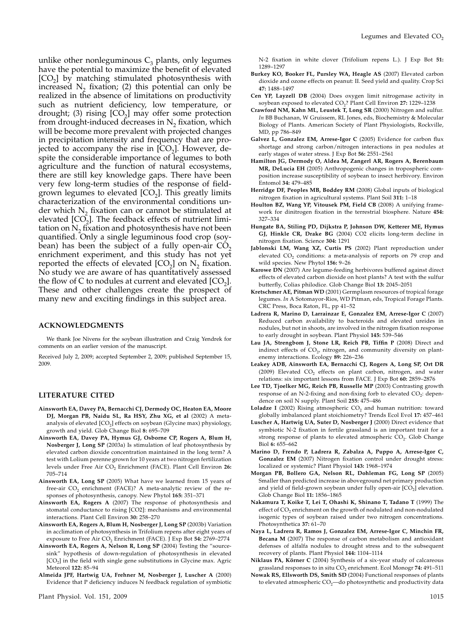unlike other nonleguminous  $C_3$  plants, only legumes have the potential to maximize the benefit of elevated  $[CO<sub>2</sub>]$  by matching stimulated photosynthesis with increased  $N_2$  fixation; (2) this potential can only be realized in the absence of limitations on productivity such as nutrient deficiency, low temperature, or drought; (3) rising  $[CO<sub>2</sub>]$  may offer some protection from drought-induced decreases in  $N<sub>2</sub>$  fixation, which will be become more prevalent with projected changes in precipitation intensity and frequency that are projected to accompany the rise in  $[CO<sub>2</sub>]$ . However, despite the considerable importance of legumes to both agriculture and the function of natural ecosystems, there are still key knowledge gaps. There have been very few long-term studies of the response of fieldgrown legumes to elevated  $[CO<sub>2</sub>]$ . This greatly limits characterization of the environmental conditions under which  $N<sub>2</sub>$  fixation can or cannot be stimulated at elevated  $[CO<sub>2</sub>]$ . The feedback effects of nutrient limitation on  $N<sub>2</sub>$  fixation and photosynthesis have not been quantified. Only a single leguminous food crop (soybean) has been the subject of a fully open-air  $CO<sub>2</sub>$ enrichment experiment, and this study has not yet reported the effects of elevated  $[CO<sub>2</sub>]$  on N<sub>2</sub> fixation. No study we are aware of has quantitatively assessed the flow of C to nodules at current and elevated  $[CO<sub>2</sub>]$ . These and other challenges create the prospect of many new and exciting findings in this subject area.

#### ACKNOWLEDGMENTS

We thank Joe Nivens for the soybean illustration and Craig Yendrek for comments on an earlier version of the manuscript.

Received July 2, 2009; accepted September 2, 2009; published September 15, 2009.

# LITERATURE CITED

- Ainsworth EA, Davey PA, Bernacchi CJ, Dermody OC, Heaton EA, Moore DJ, Morgan PB, Naidu SL, Ra HSY, Zhu XG, et al (2002) A metaanalysis of elevated  $[CO<sub>2</sub>]$  effects on soybean (Glycine max) physiology, growth and yield. Glob Change Biol 8: 695–709
- Ainsworth EA, Davey PA, Hymus GJ, Osborne CP, Rogers A, Blum H, Nosberger J, Long SP (2003a) Is stimulation of leaf photosynthesis by elevated carbon dioxide concentration maintained in the long term? A test with Lolium perenne grown for 10 years at two nitrogen fertilization levels under Free Air CO<sub>2</sub> Enrichment (FACE). Plant Cell Environ 26: 705–714
- Ainsworth EA, Long SP (2005) What have we learned from 15 years of free-air  $CO<sub>2</sub>$  enrichment (FACE)? A meta-analytic review of the responses of photosynthesis, canopy. New Phytol 165: 351–371
- Ainsworth EA, Rogers A (2007) The response of photosynthesis and stomatal conductance to rising [CO2]: mechanisms and environmental interactions. Plant Cell Environ 30: 258–270
- Ainsworth EA, Rogers A, Blum H, Nosberger J, Long SP (2003b) Variation in acclimation of photosynthesis in Trifolium repens after eight years of exposure to Free Air CO<sub>2</sub> Enrichment (FACE). J Exp Bot 54: 2769-2774
- Ainsworth EA, Rogers A, Nelson R, Long SP (2004) Testing the "sourcesink" hypothesis of down-regulation of photosynthesis in elevated [CO<sub>2</sub>] in the field with single gene substitutions in Glycine max. Agric Meteorol 122: 85–94
- Almeida JPF, Hartwig UA, Frehner M, Nosberger J, Luscher A (2000) Evidence that P deficiency induces N feedback regulation of symbiotic

N-2 fixation in white clover (Trifolium repens L.). J Exp Bot 51: 1289–1297

- Burkey KO, Booker FL, Pursley WA, Heagle AS (2007) Elevated carbon dioxide and ozone effects on peanut: II. Seed yield and quality. Crop Sci 47: 1488–1497
- Cen YP, Layzell DB (2004) Does oxygen limit nitrogenase activity in soybean exposed to elevated CO<sub>2</sub>? Plant Cell Environ 27: 1229-1238
- Crawford NM, Kahn ML, Leustek T, Long SR (2000) Nitrogen and sulfur. In BB Buchanan, W Gruissem, RL Jones, eds, Biochemistry & Molecular Biology of Plants. American Society of Plant Physiologists, Rockville, MD, pp 786–849
- Galvez L, Gonzalez EM, Arrese-Igor C (2005) Evidence for carbon flux shortage and strong carbon/nitrogen interactions in pea nodules at early stages of water stress. J Exp Bot 56: 2551–2561
- Hamilton JG, Dermody O, Aldea M, Zangerl AR, Rogers A, Berenbaum MR, DeLucia EH (2005) Anthropogenic changes in tropospheric composition increase susceptibility of soybean to insect herbivory. Environ Entomol 34: 479–485
- Herridge DF, Peoples MB, Boddey RM (2008) Global inputs of biological nitrogen fixation in agricultural systems. Plant Soil 311: 1–18
- Houlton BZ, Wang YP, Vitousek PM, Field CB (2008) A unifying framework for dinitrogen fixation in the terrestrial biosphere. Nature 454: 327–334
- Hungate BA, Stiling PD, Dijkstra P, Johnson DW, Ketterer ME, Hymus GJ, Hinkle CR, Drake BG (2004) CO2 elicits long-term decline in nitrogen fixation. Science 304: 1291
- Jablonski LM, Wang XZ, Curtis PS (2002) Plant reproduction under elevated  $CO<sub>2</sub>$  conditions: a meta-analysis of reports on 79 crop and wild species. New Phytol 156: 9–26
- Karowe DN (2007) Are legume-feeding herbivores buffered against direct effects of elevated carbon dioxide on host plants? A test with the sulfur butterfly, Colias philodice. Glob Change Biol 13: 2045–2051
- Kretschmer AE, Pitman WD (2001) Germplasm resources of tropical forage legumes. In A Sotomayor-Rios, WD Pitman, eds, Tropical Forage Plants. CRC Press, Boca Raton, FL, pp 41–52
- Ladrera R, Marino D, Larrainzar E, Gonzalez EM, Arrese-Igor C (2007) Reduced carbon availability to bacteroids and elevated ureides in nodules, but not in shoots, are involved in the nitrogen fixation response to early drought in soybean. Plant Physiol 145: 539–546
- Lau JA, Strengbom J, Stone LR, Reich PB, Tiffin P (2008) Direct and indirect effects of  $CO<sub>2</sub>$ , nitrogen, and community diversity on plantenemy interactions. Ecology 89: 226–236
- Leakey ADB, Ainsworth EA, Bernacchi CJ, Rogers A, Long SP, Ort DR (2009) Elevated  $CO<sub>2</sub>$  effects on plant carbon, nitrogen, and water relations: six important lessons from FACE. J Exp Bot 60: 2859–2876
- Lee TD, Tjoelker MG, Reich PB, Russelle MP (2003) Contrasting growth response of an N-2-fixing and non-fixing forb to elevated  $CO<sub>2</sub>$ : dependence on soil N supply. Plant Soil 255: 475–486
- Loladze I (2002) Rising atmospheric  $CO<sub>2</sub>$  and human nutrition: toward globally imbalanced plant stoichiometry? Trends Ecol Evol 17: 457–461
- Luscher A, Hartwig UA, Suter D, Nosberger J (2000) Direct evidence that symbiotic N-2 fixation in fertile grassland is an important trait for a strong response of plants to elevated atmospheric CO<sub>2</sub>. Glob Change Biol 6: 655–662
- Marino D, Frendo P, Ladrera R, Zabalza A, Puppo A, Arrese-Igor C, Gonzalez EM (2007) Nitrogen fixation control under drought stress: localized or systemic? Plant Physiol 143: 1968–1974
- Morgan PB, Bollero GA, Nelson RL, Dohleman FG, Long SP (2005) Smaller than predicted increase in aboveground net primary production and yield of field-grown soybean under fully open-air  $[CO<sub>2</sub>]$  elevation. Glob Change Biol 11: 1856–1865
- Nakamura T, Koike T, Lei T, Ohashi K, Shinano T, Tadano T (1999) The effect of CO<sub>2</sub> enrichment on the growth of nodulated and non-nodulated isogenic types of soybean raised under two nitrogen concentrations. Photosynthetica 37: 61–70
- Naya L, Ladrera R, Ramos J, Gonzalez EM, Arrese-Igor C, Minchin FR, Becana M (2007) The response of carbon metabolism and antioxidant defenses of alfalfa nodules to drought stress and to the subsequent recovery of plants. Plant Physiol 144: 1104–1114
- Niklaus PA, Körner C (2004) Synthesis of a six-year study of calcareous grassland responses to in situ CO<sub>2</sub> enrichment. Ecol Monogr 74: 491-511
- Nowak RS, Ellsworth DS, Smith SD (2004) Functional responses of plants to elevated atmospheric  $CO<sub>2</sub>$ —do photosynthetic and productivity data